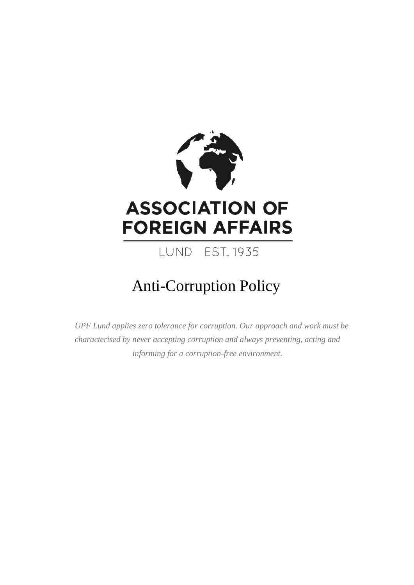

# Anti-Corruption Policy

*UPF Lund applies zero tolerance for corruption. Our approach and work must be characterised by never accepting corruption and always preventing, acting and informing for a corruption-free environment.*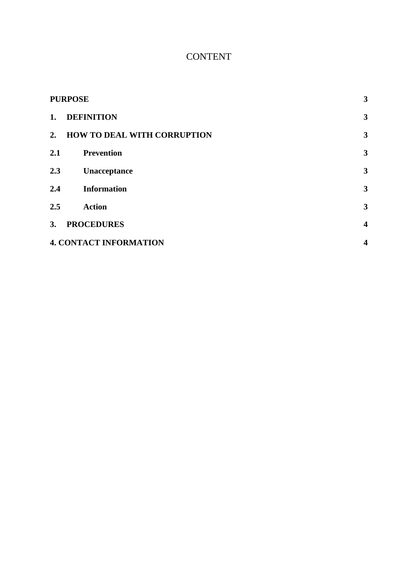# **CONTENT**

| <b>PURPOSE</b> |                                    | 3                       |
|----------------|------------------------------------|-------------------------|
| 1.             | <b>DEFINITION</b>                  | 3                       |
| 2.             | <b>HOW TO DEAL WITH CORRUPTION</b> | 3                       |
| 2.1            | <b>Prevention</b>                  | 3                       |
| 2.3            | Unacceptance                       | 3                       |
| 2.4            | <b>Information</b>                 | 3                       |
| 2.5            | <b>Action</b>                      | 3                       |
| 3.             | <b>PROCEDURES</b>                  | $\overline{\mathbf{4}}$ |
|                | <b>4. CONTACT INFORMATION</b>      | $\overline{\mathbf{4}}$ |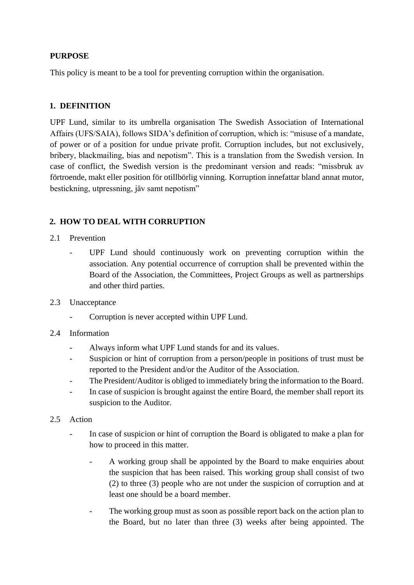### <span id="page-2-0"></span>**PURPOSE**

This policy is meant to be a tool for preventing corruption within the organisation.

## <span id="page-2-1"></span>**1. DEFINITION**

UPF Lund, similar to its umbrella organisation The Swedish Association of International Affairs (UFS/SAIA), follows SIDA's definition of corruption, which is: "misuse of a mandate, of power or of a position for undue private profit. Corruption includes, but not exclusively, bribery, blackmailing, bias and nepotism". This is a translation from the Swedish version. In case of conflict, the Swedish version is the predominant version and reads: "missbruk av förtroende, makt eller position för otillbörlig vinning. Korruption innefattar bland annat mutor, bestickning, utpressning, jäv samt nepotism"

# <span id="page-2-2"></span>**2. HOW TO DEAL WITH CORRUPTION**

- <span id="page-2-3"></span>2.1 Prevention
	- UPF Lund should continuously work on preventing corruption within the association. Any potential occurrence of corruption shall be prevented within the Board of the Association, the Committees, Project Groups as well as partnerships and other third parties.
- <span id="page-2-4"></span>2.3 Unacceptance
	- Corruption is never accepted within UPF Lund.
- <span id="page-2-5"></span>2.4 Information
	- Always inform what UPF Lund stands for and its values.
	- Suspicion or hint of corruption from a person/people in positions of trust must be reported to the President and/or the Auditor of the Association.
	- The President/Auditor is obliged to immediately bring the information to the Board.
	- In case of suspicion is brought against the entire Board, the member shall report its suspicion to the Auditor.
- <span id="page-2-6"></span>2.5 Action
	- In case of suspicion or hint of corruption the Board is obligated to make a plan for how to proceed in this matter.
		- A working group shall be appointed by the Board to make enquiries about the suspicion that has been raised. This working group shall consist of two (2) to three (3) people who are not under the suspicion of corruption and at least one should be a board member.
		- The working group must as soon as possible report back on the action plan to the Board, but no later than three (3) weeks after being appointed. The